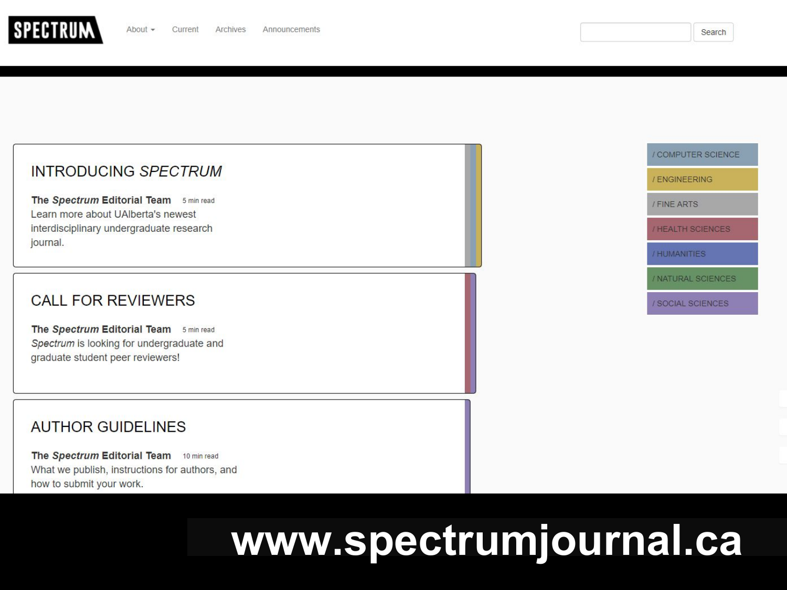#### **INTRODUCING SPECTRUM**

The Spectrum Editorial Team 5 min read Learn more about UAIberta's newest interdisciplinary undergraduate research journal.

### **CALL FOR REVIEWERS**

The Spectrum Editorial Team 5 min read Spectrum is looking for undergraduate and graduate student peer reviewers!

#### **AUTHOR GUIDELINES**

The Spectrum Editorial Team 10 min read What we publish, instructions for authors, and how to submit your work.

## www.spectrumjournal.ca

**COMPUTER SCIENCE** 

**ENGINEERING** 

**FINE ARTS** 

**HEALTH SCIENCES** 

**HUMANITIES** 

NATURAL SCIENCES

**SOCIAL SCIENCES**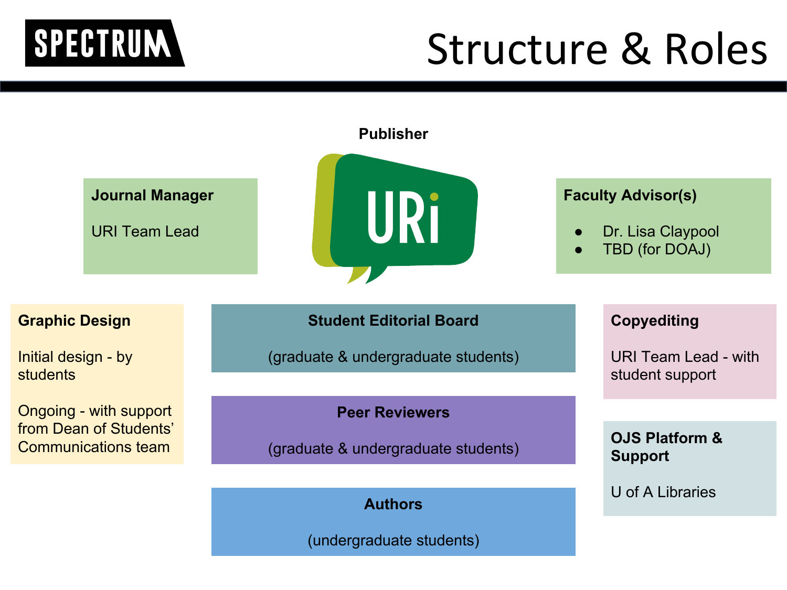## **SPECTRUM**

## Structure & Roles



(undergraduate students)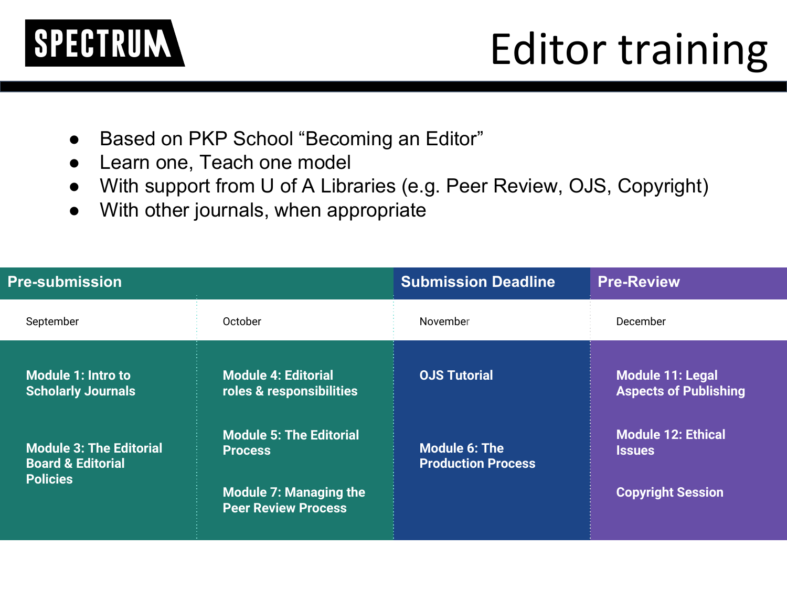

# Editor training

- Based on PKP School "Becoming an Editor"
- Learn one, Teach one model
- With support from U of A Libraries (e.g. Peer Review, OJS, Copyright)
- With other journals, when appropriate

| <b>Pre-submission</b>                                                             |                                                                                                                 | <b>Submission Deadline</b>                 | <b>Pre-Review</b>                                                      |  |
|-----------------------------------------------------------------------------------|-----------------------------------------------------------------------------------------------------------------|--------------------------------------------|------------------------------------------------------------------------|--|
| September                                                                         | October                                                                                                         | November                                   | December                                                               |  |
| Module 1: Intro to<br><b>Scholarly Journals</b>                                   | <b>Module 4: Editorial</b><br>roles & responsibilities                                                          | <b>OJS Tutorial</b>                        | <b>Module 11: Legal</b><br><b>Aspects of Publishing</b>                |  |
| <b>Module 3: The Editorial</b><br><b>Board &amp; Editorial</b><br><b>Policies</b> | <b>Module 5: The Editorial</b><br><b>Process</b><br><b>Module 7: Managing the</b><br><b>Peer Review Process</b> | Module 6: The<br><b>Production Process</b> | <b>Module 12: Ethical</b><br><b>Issues</b><br><b>Copyright Session</b> |  |
|                                                                                   |                                                                                                                 |                                            |                                                                        |  |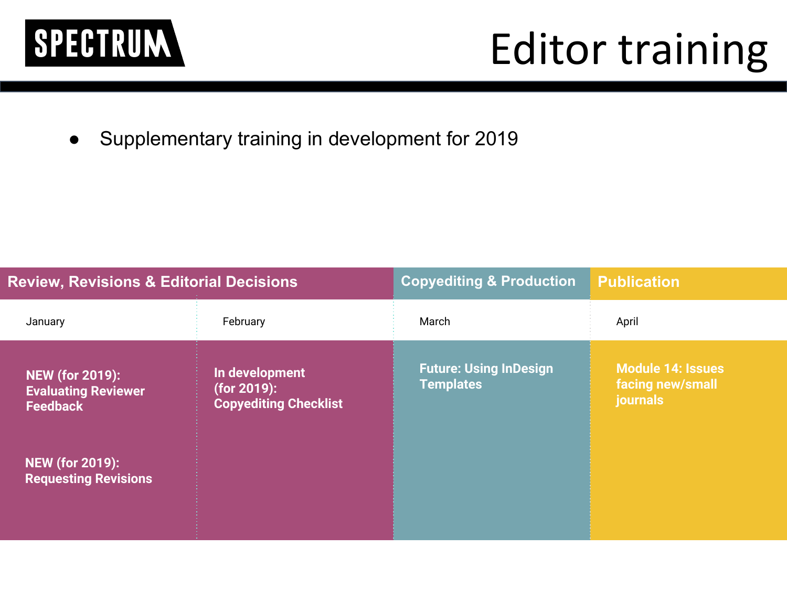

# Editor training

● Supplementary training in development for 2019

| <b>Review, Revisions &amp; Editorial Decisions</b>                      |                                                               | <b>Copyediting &amp; Production</b>               | <b>Publication</b>                                       |  |
|-------------------------------------------------------------------------|---------------------------------------------------------------|---------------------------------------------------|----------------------------------------------------------|--|
| January                                                                 | February                                                      | March                                             | April                                                    |  |
| <b>NEW (for 2019):</b><br><b>Evaluating Reviewer</b><br><b>Feedback</b> | In development<br>(for 2019):<br><b>Copyediting Checklist</b> | <b>Future: Using InDesign</b><br><b>Templates</b> | <b>Module 14: Issues</b><br>facing new/small<br>journals |  |
| <b>NEW (for 2019):</b><br><b>Requesting Revisions</b>                   |                                                               |                                                   |                                                          |  |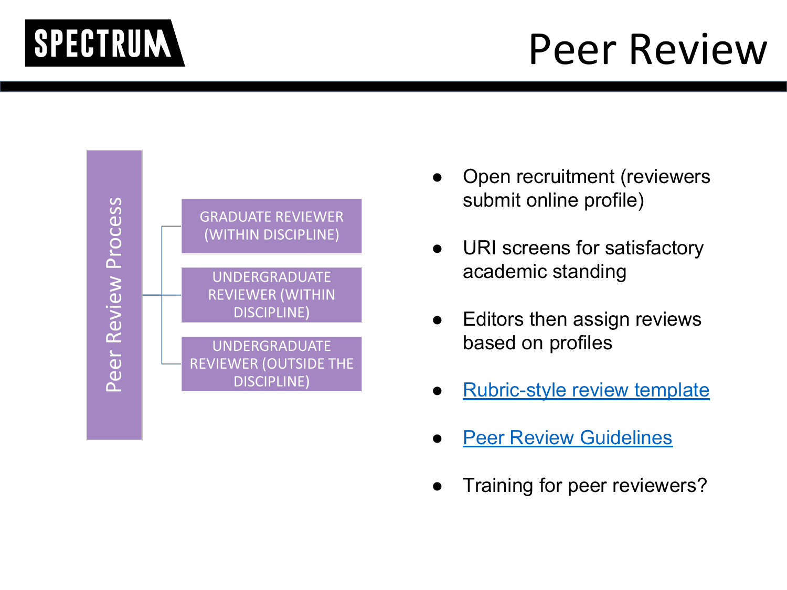## **SPECTRUM**

## Peer Review



- Open recruitment (reviewers submit online profile)
- URI screens for satisfactory academic standing
- Editors then assign reviews based on profiles
- **[Rubric-style review template](https://docs.google.com/document/d/1vziqyNS8VZ0njOhMcbBV1nYnnC8Ysb4f_S-1Q7g7Rwk/edit?usp=sharing)**
- **[Peer Review Guidelines](https://docs.google.com/document/d/1G3EZf0A5y2sn2CjelnzE2zVxVEo0C-q8A9atKlXjRqQ/edit?usp=sharing)**
- Training for peer reviewers?